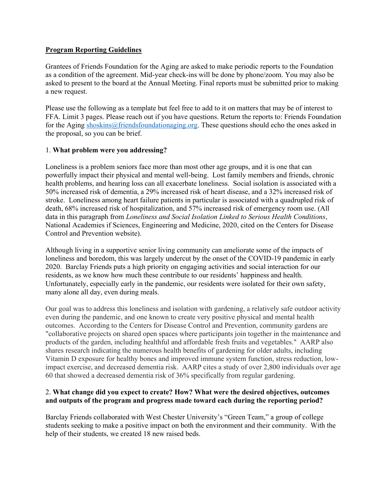# **Program Reporting Guidelines**

Grantees of Friends Foundation for the Aging are asked to make periodic reports to the Foundation as a condition of the agreement. Mid-year check-ins will be done by phone/zoom. You may also be asked to present to the board at the Annual Meeting. Final reports must be submitted prior to making a new request.

Please use the following as a template but feel free to add to it on matters that may be of interest to FFA. Limit 3 pages. Please reach out if you have questions. Return the reports to: Friends Foundation for the Aging shoskins@friendsfoundationaging.org. These questions should echo the ones asked in the proposal, so you can be brief.

# 1. **What problem were you addressing?**

Loneliness is a problem seniors face more than most other age groups, and it is one that can powerfully impact their physical and mental well-being. Lost family members and friends, chronic health problems, and hearing loss can all exacerbate loneliness. Social isolation is associated with a 50% increased risk of dementia, a 29% increased risk of heart disease, and a 32% increased risk of stroke. Loneliness among heart failure patients in particular is associated with a quadrupled risk of death, 68% increased risk of hospitalization, and 57% increased risk of emergency room use. (All data in this paragraph from *Loneliness and Social Isolation Linked to Serious Health Conditions*, National Academies if Sciences, Engineering and Medicine, 2020, cited on the Centers for Disease Control and Prevention website).

Although living in a supportive senior living community can ameliorate some of the impacts of loneliness and boredom, this was largely undercut by the onset of the COVID-19 pandemic in early 2020. Barclay Friends puts a high priority on engaging activities and social interaction for our residents, as we know how much these contribute to our residents' happiness and health. Unfortunately, especially early in the pandemic, our residents were isolated for their own safety, many alone all day, even during meals.

Our goal was to address this loneliness and isolation with gardening, a relatively safe outdoor activity even during the pandemic, and one known to create very positive physical and mental health outcomes. According to the Centers for Disease Control and Prevention, community gardens are "collaborative projects on shared open spaces where participants join together in the maintenance and products of the garden, including healthful and affordable fresh fruits and vegetables." AARP also shares research indicating the numerous health benefits of gardening for older adults, including Vitamin D exposure for healthy bones and improved immune system function, stress reduction, lowimpact exercise, and decreased dementia risk. AARP cites a study of over 2,800 individuals over age 60 that showed a decreased dementia risk of 36% specifically from regular gardening.

# 2. **What change did you expect to create? How? What were the desired objectives, outcomes and outputs of the program and progress made toward each during the reporting period?**

Barclay Friends collaborated with West Chester University's "Green Team," a group of college students seeking to make a positive impact on both the environment and their community. With the help of their students, we created 18 new raised beds.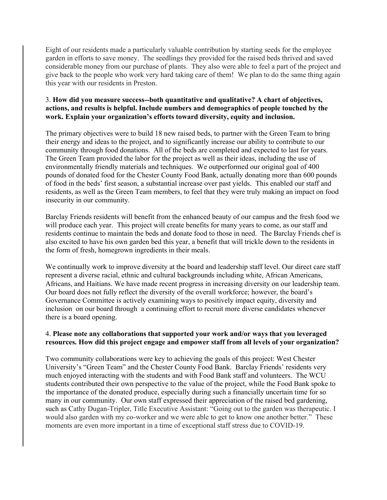Eight of our residents made a particularly valuable contribution by starting seeds for the employee garden in efforts to save money. The seedlings they provided for the raised beds thrived and saved considerable money from our purchase of plants. They also were able to feel a part of the project and give back to the people who work very hard taking care of them! We plan to do the same thing again this year with our residents in Preston.

# 3. **How did you measure success--both quantitative and qualitative? A chart of objectives, actions, and results is helpful. Include numbers and demographics of people touched by the work. Explain your organization's efforts toward diversity, equity and inclusion.**

The primary objectives were to build 18 new raised beds, to partner with the Green Team to bring their energy and ideas to the project, and to significantly increase our ability to contribute to our community through food donations. All of the beds are completed and expected to last for years. The Green Team provided the labor for the project as well as their ideas, including the use of environmentally friendly materials and techniques. We outperformed our original goal of 400 pounds of donated food for the Chester County Food Bank, actually donating more than 600 pounds of food in the beds' first season, a substantial increase over past yields. This enabled our staff and residents, as well as the Green Team members, to feel that they were truly making an impact on food insecurity in our community.

Barclay Friends residents will benefit from the enhanced beauty of our campus and the fresh food we will produce each year. This project will create benefits for many years to come, as our staff and residents continue to maintain the beds and donate food to those in need. The Barclay Friends chef is also excited to have his own garden bed this year, a benefit that will trickle down to the residents in the form of fresh, homegrown ingredients in their meals.

We continually work to improve diversity at the board and leadership staff level. Our direct care staff represent a diverse racial, ethnic and cultural backgrounds including white, African Americans, Africans, and Haitians. We have made recent progress in increasing diversity on our leadership team. Our board does not fully reflect the diversity of the overall workforce; however, the board's Governance Committee is actively examining ways to positively impact equity, diversity and inclusion on our board through a continuing effort to recruit more diverse candidates whenever there is a board opening.

### 4. **Please note any collaborations that supported your work and/or ways that you leveraged resources. How did this project engage and empower staff from all levels of your organization?**

Two community collaborations were key to achieving the goals of this project: West Chester University's "Green Team" and the Chester County Food Bank. Barclay Friends' residents very much enjoyed interacting with the students and with Food Bank staff and volunteers. The WCU students contributed their own perspective to the value of the project, while the Food Bank spoke to the importance of the donated produce, especially during such a financially uncertain time for so many in our community. Our own staff expressed their appreciation of the raised bed gardening, such as Cathy Dugan-Tripler, Title Executive Assistant: "Going out to the garden was therapeutic. I would also garden with my co-worker and we were able to get to know one another better." These moments are even more important in a time of exceptional staff stress due to COVID-19.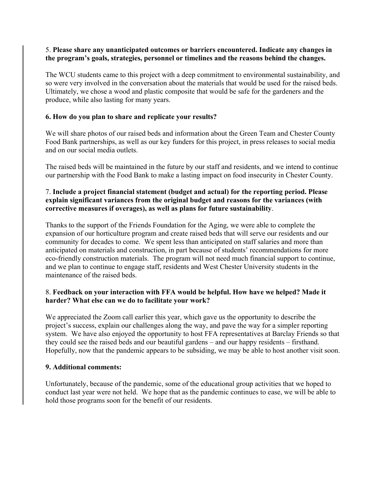# 5. **Please share any unanticipated outcomes or barriers encountered. Indicate any changes in the program's goals, strategies, personnel or timelines and the reasons behind the changes.**

The WCU students came to this project with a deep commitment to environmental sustainability, and so were very involved in the conversation about the materials that would be used for the raised beds. Ultimately, we chose a wood and plastic composite that would be safe for the gardeners and the produce, while also lasting for many years.

# **6. How do you plan to share and replicate your results?**

We will share photos of our raised beds and information about the Green Team and Chester County Food Bank partnerships, as well as our key funders for this project, in press releases to social media and on our social media outlets.

The raised beds will be maintained in the future by our staff and residents, and we intend to continue our partnership with the Food Bank to make a lasting impact on food insecurity in Chester County.

# 7. **Include a project financial statement (budget and actual) for the reporting period. Please explain significant variances from the original budget and reasons for the variances (with corrective measures if overages), as well as plans for future sustainability**.

Thanks to the support of the Friends Foundation for the Aging, we were able to complete the expansion of our horticulture program and create raised beds that will serve our residents and our community for decades to come. We spent less than anticipated on staff salaries and more than anticipated on materials and construction, in part because of students' recommendations for more eco-friendly construction materials. The program will not need much financial support to continue, and we plan to continue to engage staff, residents and West Chester University students in the maintenance of the raised beds.

### 8. **Feedback on your interaction with FFA would be helpful. How have we helped? Made it harder? What else can we do to facilitate your work?**

We appreciated the Zoom call earlier this year, which gave us the opportunity to describe the project's success, explain our challenges along the way, and pave the way for a simpler reporting system. We have also enjoyed the opportunity to host FFA representatives at Barclay Friends so that they could see the raised beds and our beautiful gardens – and our happy residents – firsthand. Hopefully, now that the pandemic appears to be subsiding, we may be able to host another visit soon.

#### **9. Additional comments:**

Unfortunately, because of the pandemic, some of the educational group activities that we hoped to conduct last year were not held. We hope that as the pandemic continues to ease, we will be able to hold those programs soon for the benefit of our residents.